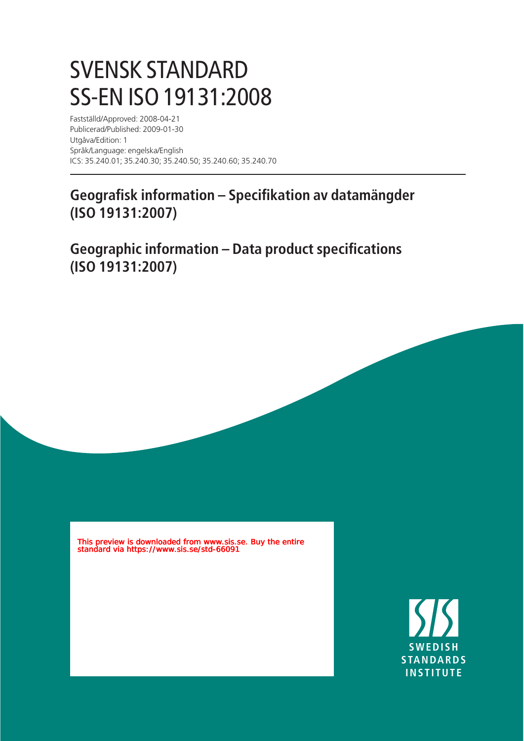## SVENSK STANDARD SS-EN ISO 19131:2008

Fastställd/Approved: 2008-04-21 Publicerad/Published: 2009-01-30 Utgåva/Edition: 1 Språk/Language: engelska/English ICS: 35.240.01; 35.240.30; 35.240.50; 35.240.60; 35.240.70

## **Geografisk information – Specifikation av datamängder (ISO 19131:2007)**

**Geographic information – Data product specifications (ISO 19131:2007)**

This preview is downloaded from www.sis.se. Buy the entire standard via https://www.sis.se/std-66091

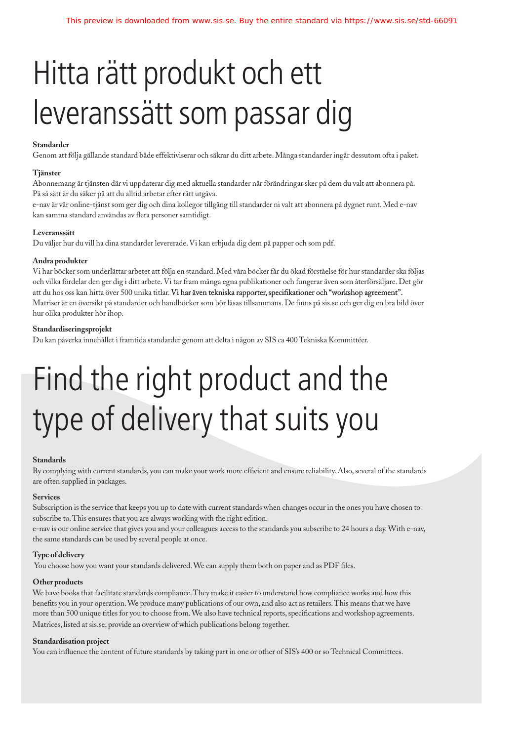## Hitta rätt produkt och ett leveranssätt som passar dig

#### **Standarder**

Genom att följa gällande standard både effektiviserar och säkrar du ditt arbete. Många standarder ingår dessutom ofta i paket.

#### **Tjänster**

Abonnemang är tjänsten där vi uppdaterar dig med aktuella standarder när förändringar sker på dem du valt att abonnera på. På så sätt är du säker på att du alltid arbetar efter rätt utgåva.

e-nav är vår online-tjänst som ger dig och dina kollegor tillgång till standarder ni valt att abonnera på dygnet runt. Med e-nav kan samma standard användas av flera personer samtidigt.

#### **Leveranssätt**

Du väljer hur du vill ha dina standarder levererade. Vi kan erbjuda dig dem på papper och som pdf.

#### **Andra produkter**

Vi har böcker som underlättar arbetet att följa en standard. Med våra böcker får du ökad förståelse för hur standarder ska följas och vilka fördelar den ger dig i ditt arbete. Vi tar fram många egna publikationer och fungerar även som återförsäljare. Det gör att du hos oss kan hitta över 500 unika titlar. Vi har även tekniska rapporter, specifikationer och "workshop agreement". Matriser är en översikt på standarder och handböcker som bör läsas tillsammans. De finns på sis.se och ger dig en bra bild över hur olika produkter hör ihop.

#### **Standardiseringsprojekt**

Du kan påverka innehållet i framtida standarder genom att delta i någon av SIS ca 400 Tekniska Kommittéer.

# Find the right product and the type of delivery that suits you

#### **Standards**

By complying with current standards, you can make your work more efficient and ensure reliability. Also, several of the standards are often supplied in packages.

#### **Services**

Subscription is the service that keeps you up to date with current standards when changes occur in the ones you have chosen to subscribe to. This ensures that you are always working with the right edition.

e-nav is our online service that gives you and your colleagues access to the standards you subscribe to 24 hours a day. With e-nav, the same standards can be used by several people at once.

#### **Type of delivery**

You choose how you want your standards delivered. We can supply them both on paper and as PDF files.

#### **Other products**

We have books that facilitate standards compliance. They make it easier to understand how compliance works and how this benefits you in your operation. We produce many publications of our own, and also act as retailers. This means that we have more than 500 unique titles for you to choose from. We also have technical reports, specifications and workshop agreements. Matrices, listed at sis.se, provide an overview of which publications belong together.

#### **Standardisation project**

You can influence the content of future standards by taking part in one or other of SIS's 400 or so Technical Committees.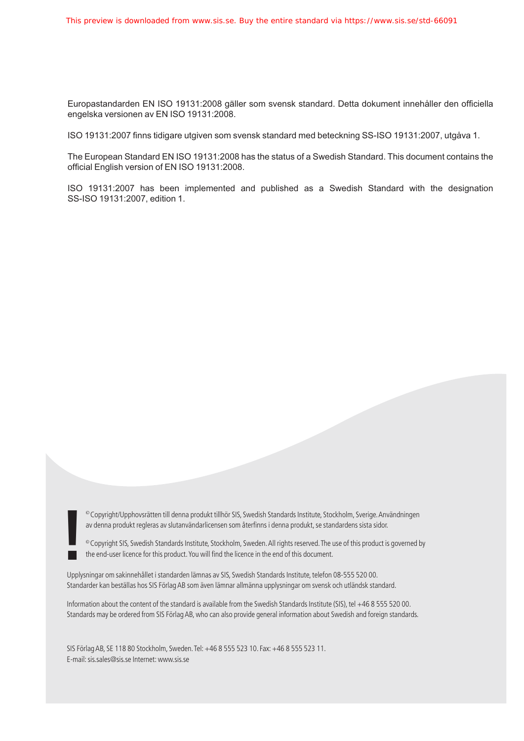Europastandarden EN ISO 19131:2008 gäller som svensk standard. Detta dokument innehåller den officiella engelska versionen av EN ISO 19131:2008.

ISO 19131:2007 finns tidigare utgiven som svensk standard med beteckning SS-ISO 19131:2007, utgåva 1.

The European Standard EN ISO 19131:2008 has the status of a Swedish Standard. This document contains the official English version of EN ISO 19131:2008.

ISO 19131:2007 has been implemented and published as a Swedish Standard with the designation SS-ISO 19131:2007, edition 1.

© Copyright/Upphovsrätten till denna produkt tillhör SIS, Swedish Standards Institute, Stockholm, Sverige. Användningen av denna produkt regleras av slutanvändarlicensen som återfinns i denna produkt, se standardens sista sidor.

© Copyright SIS, Swedish Standards Institute, Stockholm, Sweden. All rights reserved. The use of this product is governed by the end-user licence for this product. You will find the licence in the end of this document.

Upplysningar om sakinnehållet i standarden lämnas av SIS, Swedish Standards Institute, telefon 08-555 520 00. Standarder kan beställas hos SIS Förlag AB som även lämnar allmänna upplysningar om svensk och utländsk standard.

Information about the content of the standard is available from the Swedish Standards Institute (SIS), tel +46 8 555 520 00. Standards may be ordered from SIS Förlag AB, who can also provide general information about Swedish and foreign standards.

SIS Förlag AB, SE 118 80 Stockholm, Sweden. Tel: +46 8 555 523 10. Fax: +46 8 555 523 11. E-mail: sis.sales@sis.se Internet: www.sis.se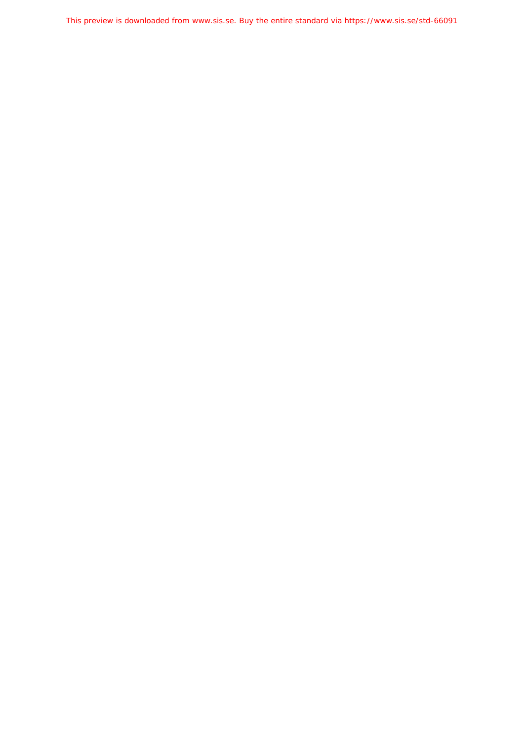This preview is downloaded from www.sis.se. Buy the entire standard via https://www.sis.se/std-66091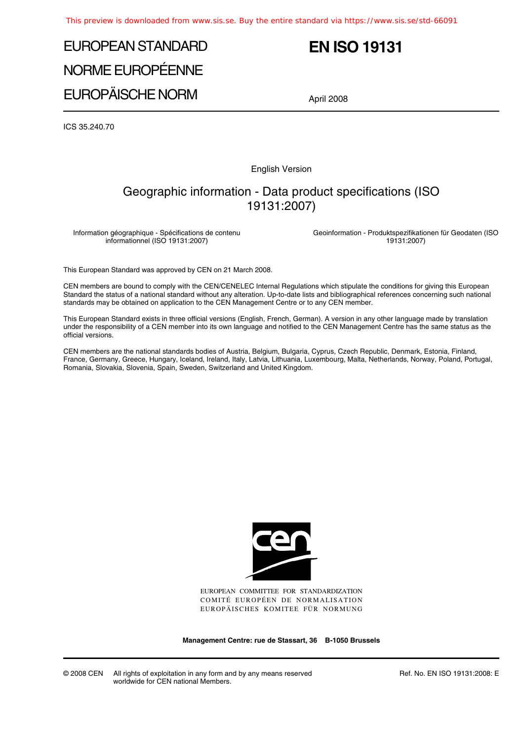## EUROPEAN STANDARD NORME EUROPÉENNE EUROPÄISCHE NORM

## **EN ISO 19131**

April 2008

ICS 35.240.70

English Version

### Geographic information - Data product specifications (ISO 19131:2007)

Information géographique - Spécifications de contenu informationnel (ISO 19131:2007)

Geoinformation - Produktspezifikationen für Geodaten (ISO 19131:2007)

This European Standard was approved by CEN on 21 March 2008.

CEN members are bound to comply with the CEN/CENELEC Internal Regulations which stipulate the conditions for giving this European Standard the status of a national standard without any alteration. Up-to-date lists and bibliographical references concerning such national standards may be obtained on application to the CEN Management Centre or to any CEN member.

This European Standard exists in three official versions (English, French, German). A version in any other language made by translation under the responsibility of a CEN member into its own language and notified to the CEN Management Centre has the same status as the official versions.

CEN members are the national standards bodies of Austria, Belgium, Bulgaria, Cyprus, Czech Republic, Denmark, Estonia, Finland, France, Germany, Greece, Hungary, Iceland, Ireland, Italy, Latvia, Lithuania, Luxembourg, Malta, Netherlands, Norway, Poland, Portugal, Romania, Slovakia, Slovenia, Spain, Sweden, Switzerland and United Kingdom.



EUROPEAN COMMITTEE FOR STANDARDIZATION COMITÉ EUROPÉEN DE NORMALISATION EUROPÄISCHES KOMITEE FÜR NORMUNG

**Management Centre: rue de Stassart, 36 B-1050 Brussels**

© 2008 CEN All rights of exploitation in any form and by any means reserved worldwide for CEN national Members.

Ref. No. EN ISO 19131:2008: E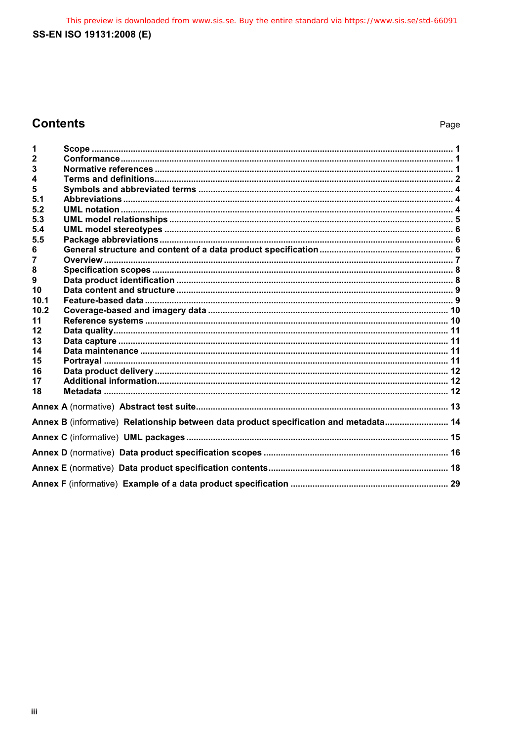This preview is downloaded from www.sis.se. Buy the entire standard via https://www.sis.se/std-66091 SS-EN ISO 19131:2008 (E)

## **Contents**

#### Page

| 1<br>$\overline{2}$<br>3<br>$\boldsymbol{\Lambda}$<br>5<br>5.1<br>5.2       |                                                                                       |  |
|-----------------------------------------------------------------------------|---------------------------------------------------------------------------------------|--|
| 5.3<br>5.4<br>5.5<br>6                                                      |                                                                                       |  |
| 7<br>8<br>9<br>10<br>10.1<br>10.2<br>11<br>12<br>13<br>14<br>15<br>16<br>17 |                                                                                       |  |
| 18                                                                          |                                                                                       |  |
|                                                                             | Annex B (informative) Relationship between data product specification and metadata 14 |  |
|                                                                             |                                                                                       |  |
|                                                                             |                                                                                       |  |
|                                                                             |                                                                                       |  |
|                                                                             |                                                                                       |  |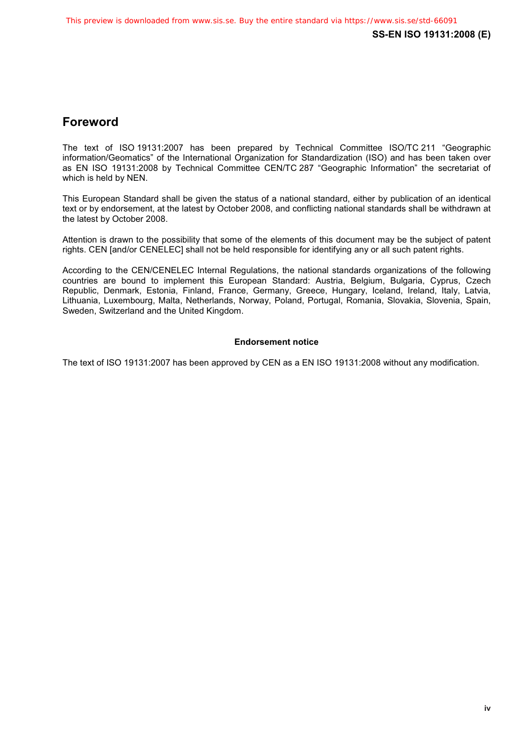## **Foreword**

The text of ISO 19131:2007 has been prepared by Technical Committee ISO/TC 211 "Geographic information/Geomatics" of the International Organization for Standardization (ISO) and has been taken over as EN ISO 19131:2008 by Technical Committee CEN/TC 287 "Geographic Information" the secretariat of which is held by NEN.

This European Standard shall be given the status of a national standard, either by publication of an identical text or by endorsement, at the latest by October 2008, and conflicting national standards shall be withdrawn at the latest by October 2008.

Attention is drawn to the possibility that some of the elements of this document may be the subject of patent rights. CEN [and/or CENELEC] shall not be held responsible for identifying any or all such patent rights.

According to the CEN/CENELEC Internal Regulations, the national standards organizations of the following countries are bound to implement this European Standard: Austria, Belgium, Bulgaria, Cyprus, Czech Republic, Denmark, Estonia, Finland, France, Germany, Greece, Hungary, Iceland, Ireland, Italy, Latvia, Lithuania, Luxembourg, Malta, Netherlands, Norway, Poland, Portugal, Romania, Slovakia, Slovenia, Spain, Sweden, Switzerland and the United Kingdom.

#### **Endorsement notice**

The text of ISO 19131:2007 has been approved by CEN as a EN ISO 19131:2008 without any modification.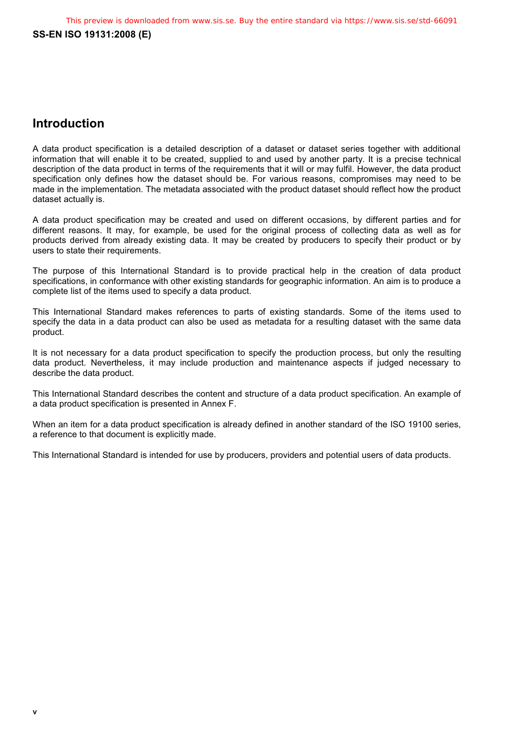### **Introduction**

A data product specification is a detailed description of a dataset or dataset series together with additional information that will enable it to be created, supplied to and used by another party. It is a precise technical description of the data product in terms of the requirements that it will or may fulfil. However, the data product specification only defines how the dataset should be. For various reasons, compromises may need to be made in the implementation. The metadata associated with the product dataset should reflect how the product dataset actually is.

A data product specification may be created and used on different occasions, by different parties and for different reasons. It may, for example, be used for the original process of collecting data as well as for products derived from already existing data. It may be created by producers to specify their product or by users to state their requirements.

The purpose of this International Standard is to provide practical help in the creation of data product specifications, in conformance with other existing standards for geographic information. An aim is to produce a complete list of the items used to specify a data product.

This International Standard makes references to parts of existing standards. Some of the items used to specify the data in a data product can also be used as metadata for a resulting dataset with the same data product.

It is not necessary for a data product specification to specify the production process, but only the resulting data product. Nevertheless, it may include production and maintenance aspects if judged necessary to describe the data product.

This International Standard describes the content and structure of a data product specification. An example of a data product specification is presented in Annex F.

When an item for a data product specification is already defined in another standard of the ISO 19100 series, a reference to that document is explicitly made.

This International Standard is intended for use by producers, providers and potential users of data products.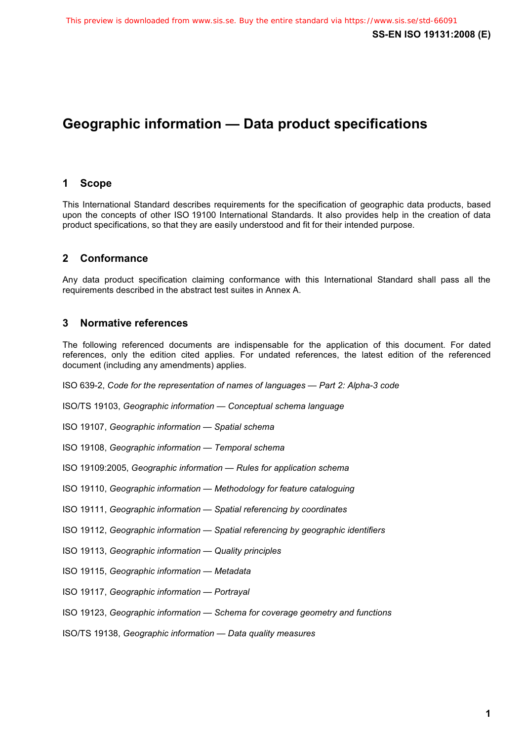## **Geographic information — Data product specifications**

#### **1 Scope**

This International Standard describes requirements for the specification of geographic data products, based upon the concepts of other ISO 19100 International Standards. It also provides help in the creation of data product specifications, so that they are easily understood and fit for their intended purpose.

#### **2 Conformance**

Any data product specification claiming conformance with this International Standard shall pass all the requirements described in the abstract test suites in Annex A.

#### **3 Normative references**

The following referenced documents are indispensable for the application of this document. For dated references, only the edition cited applies. For undated references, the latest edition of the referenced document (including any amendments) applies.

ISO 639-2, *Code for the representation of names of languages — Part 2: Alpha-3 code*

ISO/TS 19103, *Geographic information — Conceptual schema language*

- ISO 19107, *Geographic information Spatial schema*
- ISO 19108, *Geographic information Temporal schema*
- ISO 19109:2005, *Geographic information Rules for application schema*
- ISO 19110, *Geographic information Methodology for feature cataloguing*
- ISO 19111, *Geographic information Spatial referencing by coordinates*
- ISO 19112, *Geographic information Spatial referencing by geographic identifiers*
- ISO 19113, *Geographic information Quality principles*
- ISO 19115, *Geographic information Metadata*
- ISO 19117, *Geographic information Portrayal*
- ISO 19123, *Geographic information Schema for coverage geometry and functions*

ISO/TS 19138, *Geographic information — Data quality measures*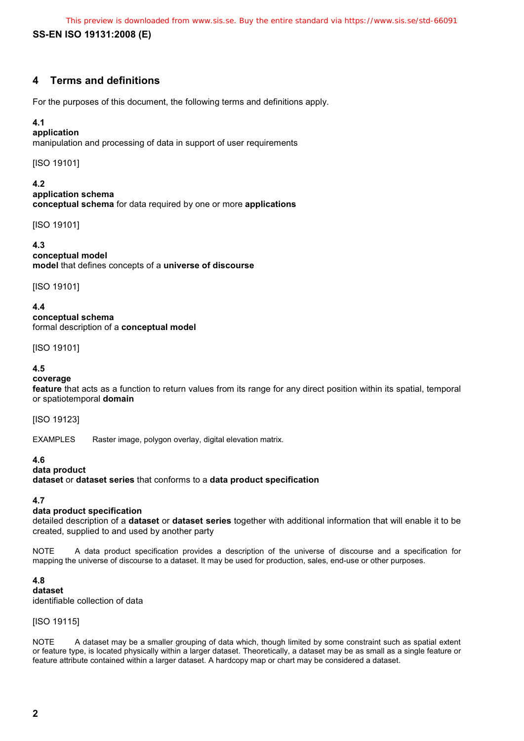**ISO 19131:2007(E) SS-EN ISO 19131:2008 (E)** This preview is downloaded from www.sis.se. Buy the entire standard via https://www.sis.se/std-66091

#### **4 Terms and definitions**

For the purposes of this document, the following terms and definitions apply.

#### **4.1**

#### **application**

manipulation and processing of data in support of user requirements

[ISO 19101]

#### **4.2**

**application schema** 

**conceptual schema** for data required by one or more **applications**

[ISO 19101]

#### **4.3**

#### **conceptual model**

**model** that defines concepts of a **universe of discourse**

[ISO 19101]

#### **4.4**

**conceptual schema**  formal description of a **conceptual model**

[ISO 19101]

#### **4.5**

**coverage** 

**feature** that acts as a function to return values from its range for any direct position within its spatial, temporal or spatiotemporal **domain**

**IISO 191231** 

EXAMPLES Raster image, polygon overlay, digital elevation matrix.

#### **4.6**

**data product** 

**dataset** or **dataset series** that conforms to a **data product specification**

#### **4.7**

#### **data product specification**

detailed description of a **dataset** or **dataset series** together with additional information that will enable it to be created, supplied to and used by another party

NOTE A data product specification provides a description of the universe of discourse and a specification for mapping the universe of discourse to a dataset. It may be used for production, sales, end-use or other purposes.

#### **4.8**

#### **dataset**

identifiable collection of data

#### [ISO 19115]

NOTE A dataset may be a smaller grouping of data which, though limited by some constraint such as spatial extent or feature type, is located physically within a larger dataset. Theoretically, a dataset may be as small as a single feature or feature attribute contained within a larger dataset. A hardcopy map or chart may be considered a dataset.